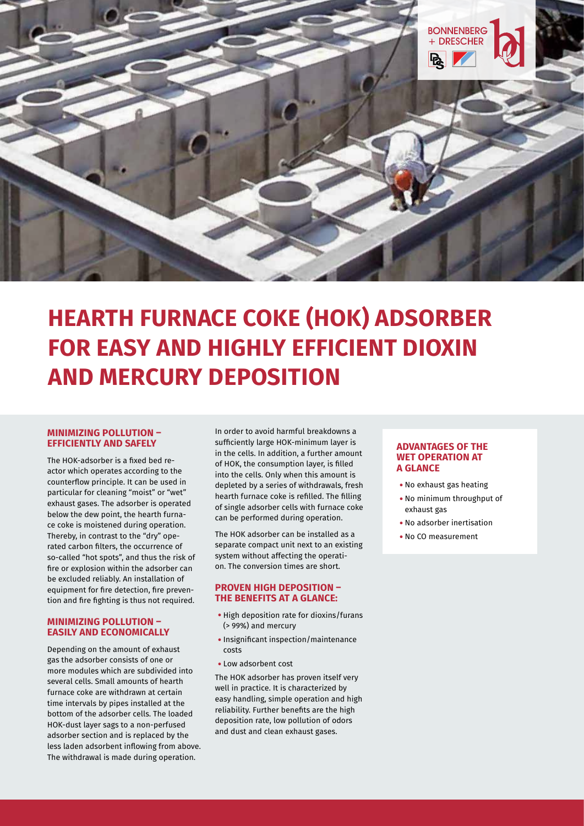

# **HEARTH FURNACE COKE (HOK) ADSORBER FOR EASY AND HIGHLY EFFICIENT DIOXIN AND MERCURY DEPOSITION**

#### **MINIMIZING POLLUTION – EFFICIENTLY AND SAFELY**

The HOK-adsorber is a fixed bed reactor which operates according to the counterflow principle. It can be used in particular for cleaning "moist" or "wet" exhaust gases. The adsorber is operated below the dew point, the hearth furnace coke is moistened during operation. Thereby, in contrast to the "dry" operated carbon filters, the occurrence of so-called "hot spots", and thus the risk of fire or explosion within the adsorber can be excluded reliably. An installation of equipment for fire detection, fire prevention and fire fighting is thus not required.

### **MINIMIZING POLLUTION – EASILY AND ECONOMICALLY**

Depending on the amount of exhaust gas the adsorber consists of one or more modules which are subdivided into several cells. Small amounts of hearth furnace coke are withdrawn at certain time intervals by pipes installed at the bottom of the adsorber cells. The loaded HOK-dust layer sags to a non-perfused adsorber section and is replaced by the less laden adsorbent inflowing from above. The withdrawal is made during operation.

In order to avoid harmful breakdowns a sufficiently large HOK-minimum layer is in the cells. In addition, a further amount of HOK, the consumption layer, is filled into the cells. Only when this amount is depleted by a series of withdrawals, fresh hearth furnace coke is refilled. The filling of single adsorber cells with furnace coke can be performed during operation.

The HOK adsorber can be installed as a separate compact unit next to an existing system without affecting the operation. The conversion times are short.

### **PROVEN HIGH DEPOSITION – THE BENEFITS AT A GLANCE:**

- High deposition rate for dioxins/furans (> 99%) and mercury
- •Insignificant inspection/maintenance costs
- Low adsorbent cost

The HOK adsorber has proven itself very well in practice. It is characterized by easy handling, simple operation and high reliability. Further benefits are the high deposition rate, low pollution of odors and dust and clean exhaust gases.

### **ADVANTAGES OF THE WET OPERATION AT A GLANCE**

- No exhaust gas heating
- No minimum throughput of exhaust gas
- No adsorber inertisation
- No CO measurement